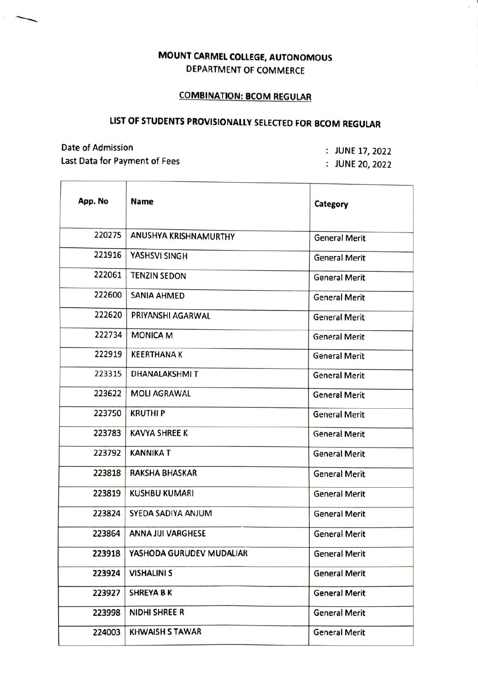## MOUNT CARMEL COLLEGE, AUTONOMOUS DEPARTMENT OF COMMERCE

## COMBINATION: BCOM REGULAR

## LIST OF STUDENTS PROVISIONALLY SELECTED FOR BCOM REGULAR

<u>a k</u>abupatèn Kabupatèn Kabupatèn Indonesia.<br>Kabupatèn Kabupatèn Kabupatèn Kabupatèn Kabupatèn Kabupatèn Kabupatèn Kabupatèn Kabupatèn Kabupatèn Kabupatèn K

Date of Admission Last Data for Payment of Fees

 $\overline{1}$ 

:JUNE 17, 2022

JUNE 20, 2022

| App. No | <b>Name</b>               | Category             |
|---------|---------------------------|----------------------|
| 220275  | ANUSHYA KRISHNAMURTHY     | <b>General Merit</b> |
| 221916  | YASHSVI SINGH             | <b>General Merit</b> |
| 222061  | <b>TENZIN SEDON</b>       | <b>General Merit</b> |
| 222600  | <b>SANIA AHMED</b>        | <b>General Merit</b> |
| 222620  | PRIYANSHI AGARWAL         | <b>General Merit</b> |
| 222734  | <b>MONICA M</b>           | <b>General Merit</b> |
| 222919  | <b>KEERTHANA K</b>        | <b>General Merit</b> |
| 223315  | <b>DHANALAKSHMIT</b>      | <b>General Merit</b> |
| 223622  | <b>MOLI AGRAWAL</b>       | <b>General Merit</b> |
| 223750  | <b>KRUTHIP</b>            | <b>General Merit</b> |
| 223783  | <b>KAVYA SHREE K</b>      | <b>General Merit</b> |
| 223792  | <b>KANNIKA T</b>          | <b>General Merit</b> |
| 223818  | <b>RAKSHA BHASKAR</b>     | <b>General Merit</b> |
| 223819  | <b>KUSHBU KUMARI</b>      | <b>General Merit</b> |
| 223824  | SYEDA SADIYA ANJUM        | <b>General Merit</b> |
| 223864  | <b>ANNA JIJI VARGHESE</b> | <b>General Merit</b> |
| 223918  | YASHODA GURUDEV MUDALIAR  | <b>General Merit</b> |
| 223924  | <b>VISHALINI S</b>        | <b>General Merit</b> |
| 223927  | <b>SHREYA BK</b>          | <b>General Merit</b> |
| 223998  | NIDHI SHREE R             | <b>General Merit</b> |
| 224003  | <b>KHWAISH S TAWAR</b>    | <b>General Merit</b> |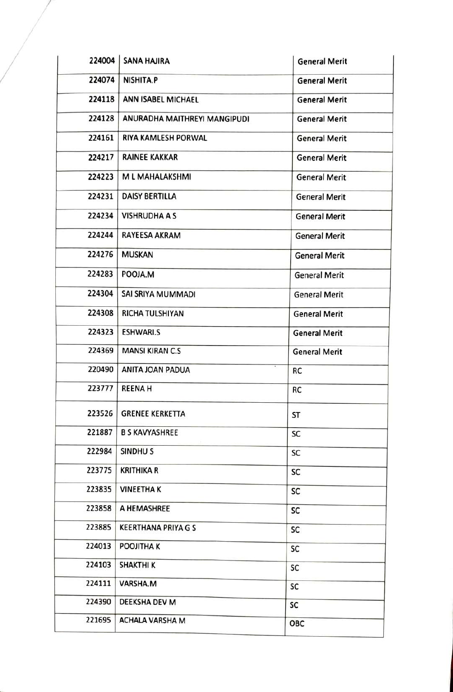| 224004 | <b>SANA HAJIRA</b>           | <b>General Merit</b> |
|--------|------------------------------|----------------------|
| 224074 | NISHITA.P                    | <b>General Merit</b> |
| 224118 | <b>ANN ISABEL MICHAEL</b>    | <b>General Merit</b> |
| 224128 | ANURADHA MAITHREYI MANGIPUDI | <b>General Merit</b> |
| 224161 | RIYA KAMLESH PORWAL          | <b>General Merit</b> |
| 224217 | <b>RAINEE KAKKAR</b>         | <b>General Merit</b> |
| 224223 | M L MAHALAKSHMI              | <b>General Merit</b> |
| 224231 | <b>DAISY BERTILLA</b>        | <b>General Merit</b> |
| 224234 | <b>VISHRUDHA A S</b>         | <b>General Merit</b> |
| 224244 | <b>RAYEESA AKRAM</b>         | <b>General Merit</b> |
| 224276 | <b>MUSKAN</b>                | <b>General Merit</b> |
| 224283 | POOJA.M                      | <b>General Merit</b> |
| 224304 | SAI SRIYA MUMMADI            | <b>General Merit</b> |
| 224308 | <b>RICHA TULSHIYAN</b>       | <b>General Merit</b> |
| 224323 | <b>ESHWARI.S</b>             | <b>General Merit</b> |
| 224369 | <b>MANSI KIRAN C.S</b>       | <b>General Merit</b> |
| 220490 | ANITA JOAN PADUA             | RC                   |
| 223777 | <b>REENAH</b>                | RC                   |
| 223526 | <b>GRENEE KERKETTA</b>       | ST                   |
| 221887 | <b>B S KAVYASHREE</b>        | SC                   |
| 222984 | SINDHU <sub>S</sub>          | SC                   |
| 223775 | <b>KRITHIKA R</b>            | SC                   |
| 223835 | <b>VINEETHAK</b>             | SC                   |
| 223858 | A HEMASHREE                  | SC                   |
| 223885 | <b>KEERTHANA PRIYA G S</b>   | SC                   |
| 224013 | <b>POOJITHAK</b>             | SC                   |
| 224103 | <b>SHAKTHI K</b>             | SC                   |
| 224111 | VARSHA.M                     | SC                   |
| 224390 | DEEKSHA DEV M                | SC                   |
| 221695 | <b>ACHALA VARSHA M</b>       | ОВС                  |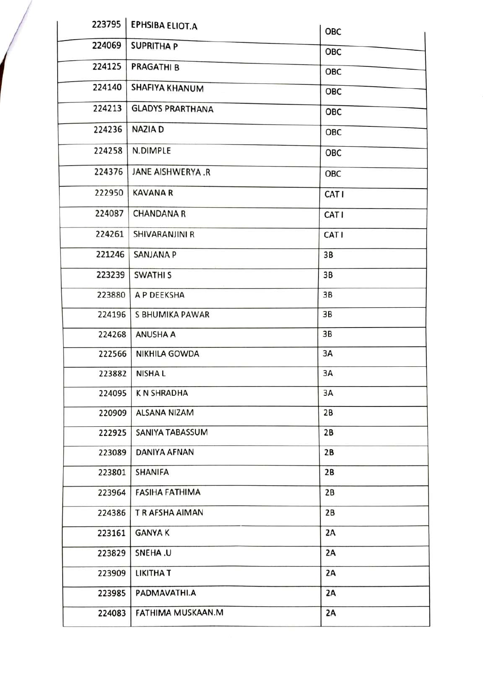| 223795 | <b>EPHSIBA ELIOT.A</b>  | OBC   |
|--------|-------------------------|-------|
| 224069 | <b>SUPRITHA P</b>       | ОВС   |
| 224125 | <b>PRAGATHI B</b>       | OBC   |
| 224140 | SHAFIYA KHANUM          | OBC   |
| 224213 | <b>GLADYS PRARTHANA</b> | OBC   |
| 224236 | <b>NAZIA D</b>          | OBC   |
| 224258 | N.DIMPLE                | OBC   |
| 224376 | JANE AISHWERYA.R        | OBC   |
| 222950 | <b>KAVANA R</b>         | CAT I |
| 224087 | <b>CHANDANA R</b>       | CAT I |
| 224261 | SHIVARANJINI R          | CAT I |
| 221246 | <b>SANJANA P</b>        | 3B    |
| 223239 | <b>SWATHIS</b>          | 3B    |
| 223880 | A P DEEKSHA             | 3B    |
| 224196 | S BHUMIKA PAWAR         | 3B    |
| 224268 | <b>ANUSHA A</b>         | 3B    |
| 222566 | <b>NIKHILA GOWDA</b>    | 3A    |
| 223882 | <b>NISHAL</b>           | 3A    |
| 224095 | <b>KN SHRADHA</b>       | 3A    |
|        | 220909 ALSANA NIZAM     | 2B    |
| 222925 | SANIYA TABASSUM         | 2B    |
| 223089 | <b>DANIYA AFNAN</b>     | 2B    |
| 223801 | SHANIFA                 | 2B    |
| 223964 | <b>FASIHA FATHIMA</b>   | 2B    |
| 224386 | T R AFSHA AIMAN         | 2B    |
| 223161 | <b>GANYAK</b>           | 2A    |
| 223829 | SNEHA.U                 | 2A    |
| 223909 | <b>LIKITHAT</b>         | 2A    |
| 223985 | PADMAVATHI.A            | 2A    |
| 224083 | FATHIMA MUSKAAN.M       | 2A    |